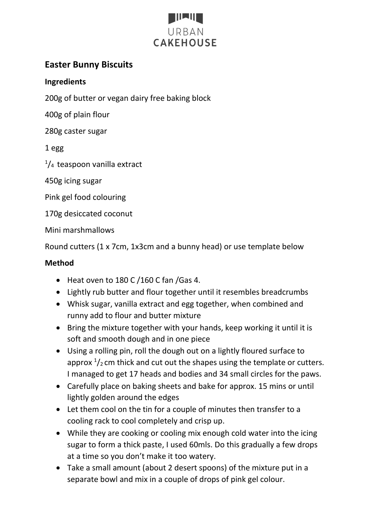

## **Easter Bunny Biscuits**

## **Ingredients**

200g of butter or vegan dairy free baking block

400g of plain flour

280g caster sugar

1 egg

 $\frac{1}{4}$  teaspoon vanilla extract

450g icing sugar

Pink gel food colouring

170g desiccated coconut

Mini marshmallows

Round cutters (1 x 7cm, 1x3cm and a bunny head) or use template below

## **Method**

- Heat oven to 180 C /160 C fan /Gas 4.
- Lightly rub butter and flour together until it resembles breadcrumbs
- Whisk sugar, vanilla extract and egg together, when combined and runny add to flour and butter mixture
- Bring the mixture together with your hands, keep working it until it is soft and smooth dough and in one piece
- Using a rolling pin, roll the dough out on a lightly floured surface to approx  $\frac{1}{2}$  cm thick and cut out the shapes using the template or cutters. I managed to get 17 heads and bodies and 34 small circles for the paws.
- Carefully place on baking sheets and bake for approx. 15 mins or until lightly golden around the edges
- Let them cool on the tin for a couple of minutes then transfer to a cooling rack to cool completely and crisp up.
- While they are cooking or cooling mix enough cold water into the icing sugar to form a thick paste, I used 60mls. Do this gradually a few drops at a time so you don't make it too watery.
- Take a small amount (about 2 desert spoons) of the mixture put in a separate bowl and mix in a couple of drops of pink gel colour.